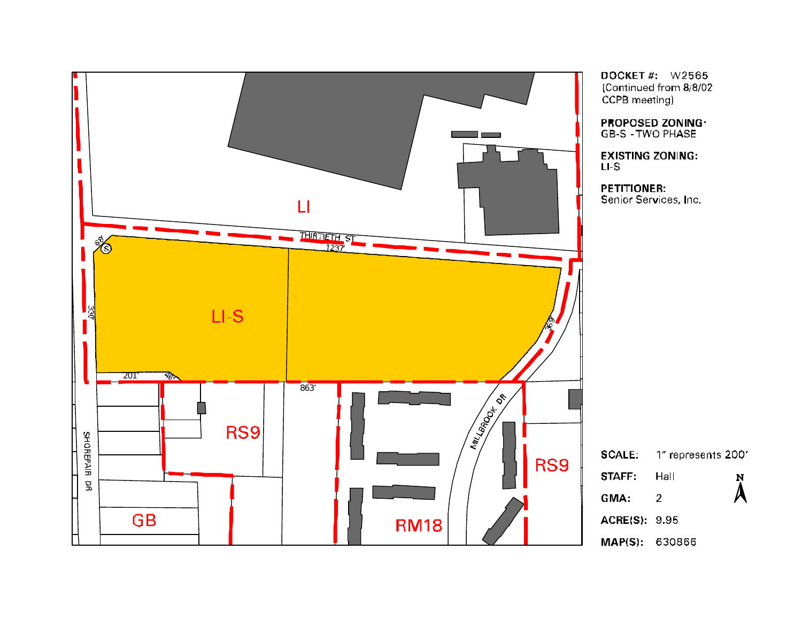

**DOCKET#:** W2565 (Continued from 8/8/02 CCPB meeting)

PROPOSED ZONING<br>GB-S - TWO PHASE

**EXISTING ZONING:** 

**PETITIONER:** Senior Services, Inc.

|             | <b>LE:</b> 1″ represents 200′ |           |
|-------------|-------------------------------|-----------|
| FF:         | Hall                          | N         |
| А.          | 2                             | $\lambda$ |
| IE(S): 9.95 |                               |           |
|             |                               |           |

MAP(S): 630866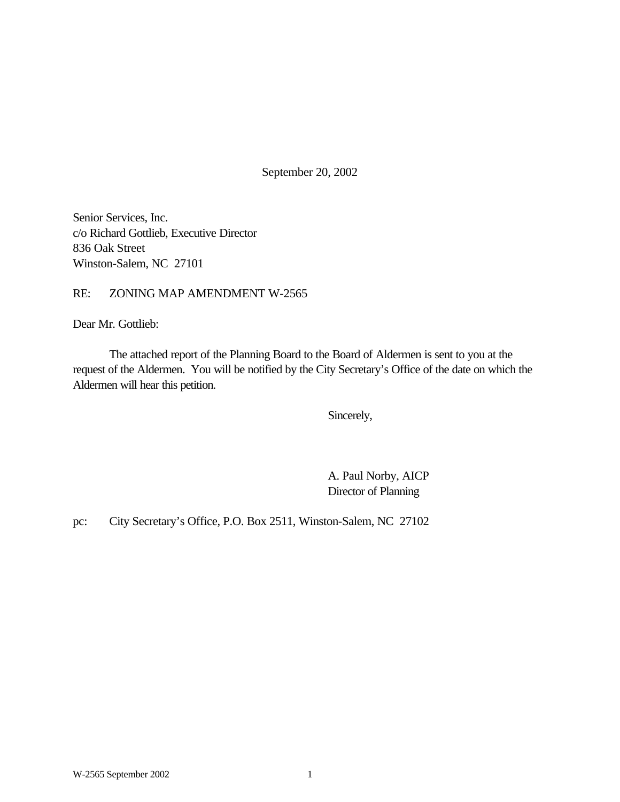September 20, 2002

Senior Services, Inc. c/o Richard Gottlieb, Executive Director 836 Oak Street Winston-Salem, NC 27101

## RE: ZONING MAP AMENDMENT W-2565

Dear Mr. Gottlieb:

The attached report of the Planning Board to the Board of Aldermen is sent to you at the request of the Aldermen. You will be notified by the City Secretary's Office of the date on which the Aldermen will hear this petition.

Sincerely,

A. Paul Norby, AICP Director of Planning

pc: City Secretary's Office, P.O. Box 2511, Winston-Salem, NC 27102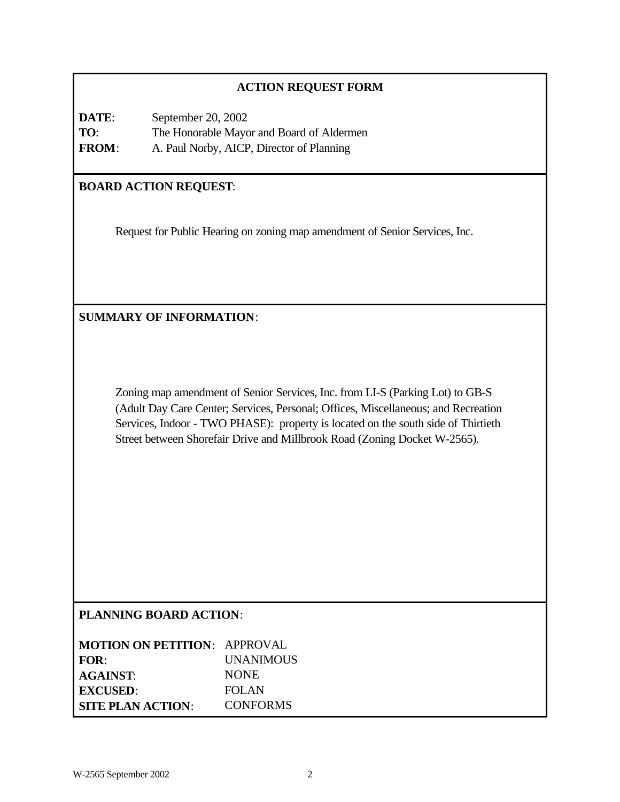# **ACTION REQUEST FORM**

**DATE**: September 20, 2002 **TO**: The Honorable Mayor and Board of Aldermen **FROM**: A. Paul Norby, AICP, Director of Planning

## **BOARD ACTION REQUEST**:

Request for Public Hearing on zoning map amendment of Senior Services, Inc.

**SUMMARY OF INFORMATION**:

Zoning map amendment of Senior Services, Inc. from LI-S (Parking Lot) to GB-S (Adult Day Care Center; Services, Personal; Offices, Miscellaneous; and Recreation Services, Indoor - TWO PHASE): property is located on the south side of Thirtieth Street between Shorefair Drive and Millbrook Road (Zoning Docket W-2565).

## **PLANNING BOARD ACTION**:

| <b>MOTION ON PETITION: APPROVAL</b> |                  |
|-------------------------------------|------------------|
| FOR:                                | <b>UNANIMOUS</b> |
| <b>AGAINST:</b>                     | <b>NONE</b>      |
| <b>EXCUSED:</b>                     | <b>FOLAN</b>     |
| <b>SITE PLAN ACTION:</b>            | <b>CONFORMS</b>  |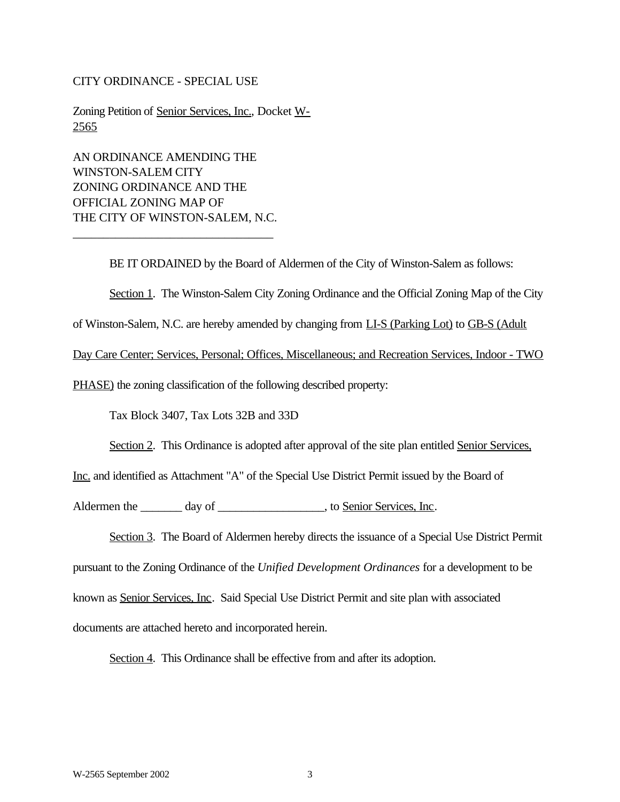#### CITY ORDINANCE - SPECIAL USE

Zoning Petition of Senior Services, Inc., Docket W-2565

AN ORDINANCE AMENDING THE WINSTON-SALEM CITY ZONING ORDINANCE AND THE OFFICIAL ZONING MAP OF THE CITY OF WINSTON-SALEM, N.C.

\_\_\_\_\_\_\_\_\_\_\_\_\_\_\_\_\_\_\_\_\_\_\_\_\_\_\_\_\_\_\_\_\_

BE IT ORDAINED by the Board of Aldermen of the City of Winston-Salem as follows:

Section 1. The Winston-Salem City Zoning Ordinance and the Official Zoning Map of the City

of Winston-Salem, N.C. are hereby amended by changing from LI-S (Parking Lot) to GB-S (Adult

Day Care Center; Services, Personal; Offices, Miscellaneous; and Recreation Services, Indoor - TWO

PHASE) the zoning classification of the following described property:

Tax Block 3407, Tax Lots 32B and 33D

Section 2. This Ordinance is adopted after approval of the site plan entitled Senior Services,

Inc. and identified as Attachment "A" of the Special Use District Permit issued by the Board of

Aldermen the day of day of the senior Services, Inc.

Section 3. The Board of Aldermen hereby directs the issuance of a Special Use District Permit pursuant to the Zoning Ordinance of the *Unified Development Ordinances* for a development to be known as Senior Services, Inc. Said Special Use District Permit and site plan with associated documents are attached hereto and incorporated herein.

Section 4. This Ordinance shall be effective from and after its adoption.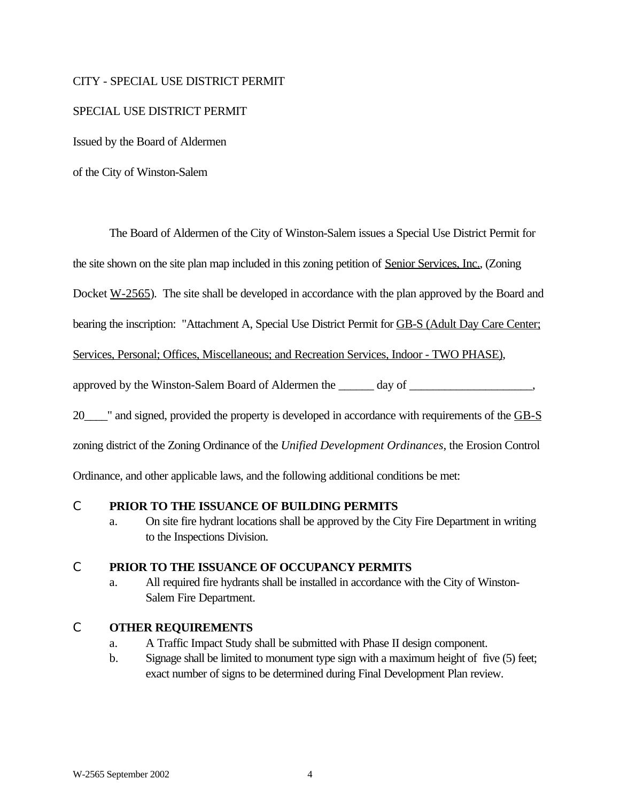## CITY - SPECIAL USE DISTRICT PERMIT

## SPECIAL USE DISTRICT PERMIT

Issued by the Board of Aldermen

of the City of Winston-Salem

The Board of Aldermen of the City of Winston-Salem issues a Special Use District Permit for

the site shown on the site plan map included in this zoning petition of Senior Services, Inc., (Zoning

Docket <u>W-2565</u>). The site shall be developed in accordance with the plan approved by the Board and

bearing the inscription: "Attachment A, Special Use District Permit for GB-S (Adult Day Care Center;

Services, Personal; Offices, Miscellaneous; and Recreation Services, Indoor - TWO PHASE),

approved by the Winston-Salem Board of Aldermen the day of  $\cdot$ 

20\_\_\_\_" and signed, provided the property is developed in accordance with requirements of the GB-S

zoning district of the Zoning Ordinance of the *Unified Development Ordinances*, the Erosion Control

Ordinance, and other applicable laws, and the following additional conditions be met:

## C **PRIOR TO THE ISSUANCE OF BUILDING PERMITS**

a. On site fire hydrant locations shall be approved by the City Fire Department in writing to the Inspections Division.

## C **PRIOR TO THE ISSUANCE OF OCCUPANCY PERMITS**

a. All required fire hydrants shall be installed in accordance with the City of Winston-Salem Fire Department.

## C **OTHER REQUIREMENTS**

- a. A Traffic Impact Study shall be submitted with Phase II design component.
- b. Signage shall be limited to monument type sign with a maximum height of five (5) feet; exact number of signs to be determined during Final Development Plan review.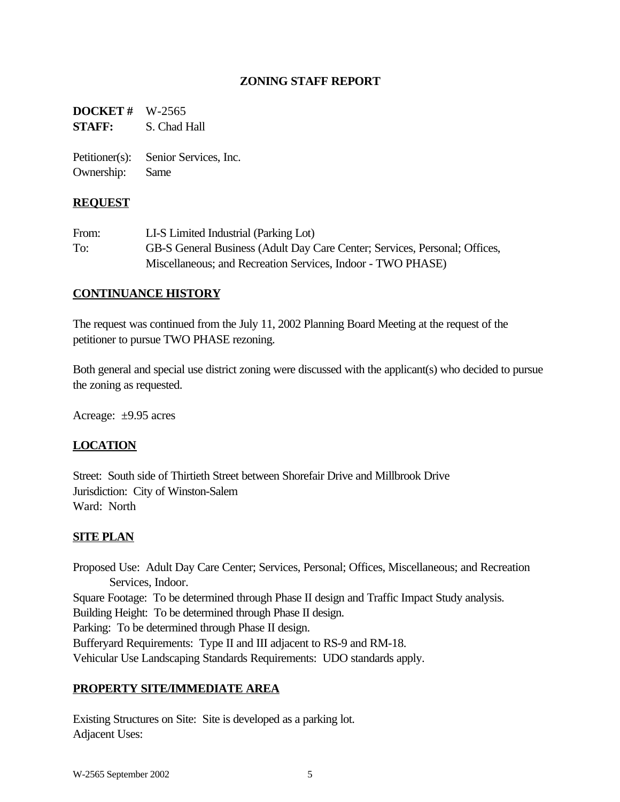# **ZONING STAFF REPORT**

**DOCKET #** W-2565 **STAFF:** S. Chad Hall

Petitioner(s): Senior Services, Inc. Ownership: Same

#### **REQUEST**

| From: | LI-S Limited Industrial (Parking Lot)                                      |
|-------|----------------------------------------------------------------------------|
| To:   | GB-S General Business (Adult Day Care Center; Services, Personal; Offices, |
|       | Miscellaneous; and Recreation Services, Indoor - TWO PHASE)                |

## **CONTINUANCE HISTORY**

The request was continued from the July 11, 2002 Planning Board Meeting at the request of the petitioner to pursue TWO PHASE rezoning.

Both general and special use district zoning were discussed with the applicant(s) who decided to pursue the zoning as requested.

Acreage: ±9.95 acres

## **LOCATION**

Street: South side of Thirtieth Street between Shorefair Drive and Millbrook Drive Jurisdiction: City of Winston-Salem Ward: North

## **SITE PLAN**

Proposed Use: Adult Day Care Center; Services, Personal; Offices, Miscellaneous; and Recreation Services, Indoor. Square Footage: To be determined through Phase II design and Traffic Impact Study analysis. Building Height: To be determined through Phase II design. Parking: To be determined through Phase II design. Bufferyard Requirements: Type II and III adjacent to RS-9 and RM-18. Vehicular Use Landscaping Standards Requirements: UDO standards apply.

## **PROPERTY SITE/IMMEDIATE AREA**

Existing Structures on Site: Site is developed as a parking lot. Adjacent Uses: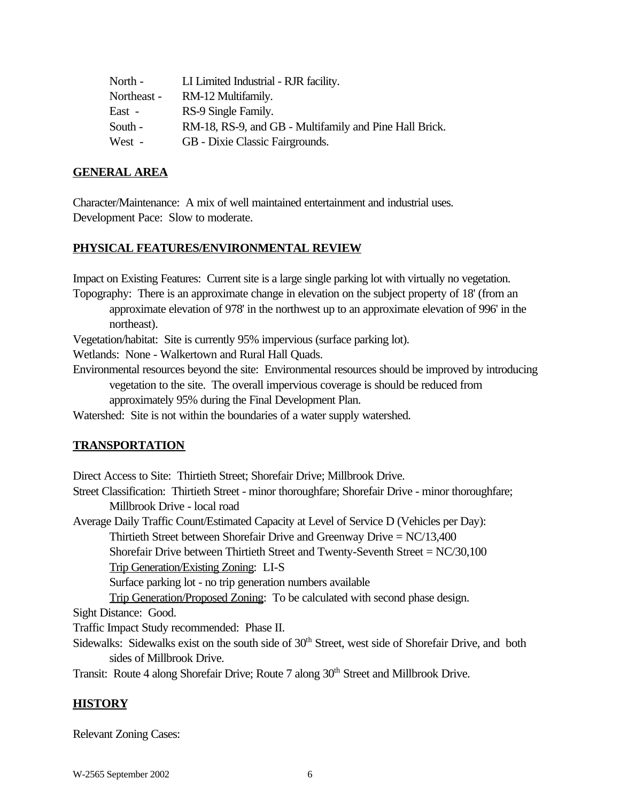| North -     | LI Limited Industrial - RJR facility.                  |
|-------------|--------------------------------------------------------|
| Northeast - | RM-12 Multifamily.                                     |
| East -      | RS-9 Single Family.                                    |
| South -     | RM-18, RS-9, and GB - Multifamily and Pine Hall Brick. |
| West -      | GB - Dixie Classic Fairgrounds.                        |

#### **GENERAL AREA**

Character/Maintenance: A mix of well maintained entertainment and industrial uses. Development Pace: Slow to moderate.

#### **PHYSICAL FEATURES/ENVIRONMENTAL REVIEW**

Impact on Existing Features: Current site is a large single parking lot with virtually no vegetation.

Topography: There is an approximate change in elevation on the subject property of 18' (from an approximate elevation of 978' in the northwest up to an approximate elevation of 996' in the northeast).

Vegetation/habitat: Site is currently 95% impervious (surface parking lot).

Wetlands: None - Walkertown and Rural Hall Quads.

Environmental resources beyond the site: Environmental resources should be improved by introducing vegetation to the site. The overall impervious coverage is should be reduced from

approximately 95% during the Final Development Plan.

Watershed: Site is not within the boundaries of a water supply watershed.

## **TRANSPORTATION**

Direct Access to Site: Thirtieth Street; Shorefair Drive; Millbrook Drive.

Street Classification: Thirtieth Street - minor thoroughfare; Shorefair Drive - minor thoroughfare; Millbrook Drive - local road

Average Daily Traffic Count/Estimated Capacity at Level of Service D (Vehicles per Day):

Thirtieth Street between Shorefair Drive and Greenway Drive = NC/13,400

Shorefair Drive between Thirtieth Street and Twenty-Seventh Street = NC/30,100

Trip Generation/Existing Zoning: LI-S

Surface parking lot - no trip generation numbers available

Trip Generation/Proposed Zoning: To be calculated with second phase design.

Sight Distance: Good.

Traffic Impact Study recommended: Phase II.

Sidewalks: Sidewalks exist on the south side of 30<sup>th</sup> Street, west side of Shorefair Drive, and both sides of Millbrook Drive.

Transit: Route 4 along Shorefair Drive; Route 7 along 30<sup>th</sup> Street and Millbrook Drive.

#### **HISTORY**

Relevant Zoning Cases: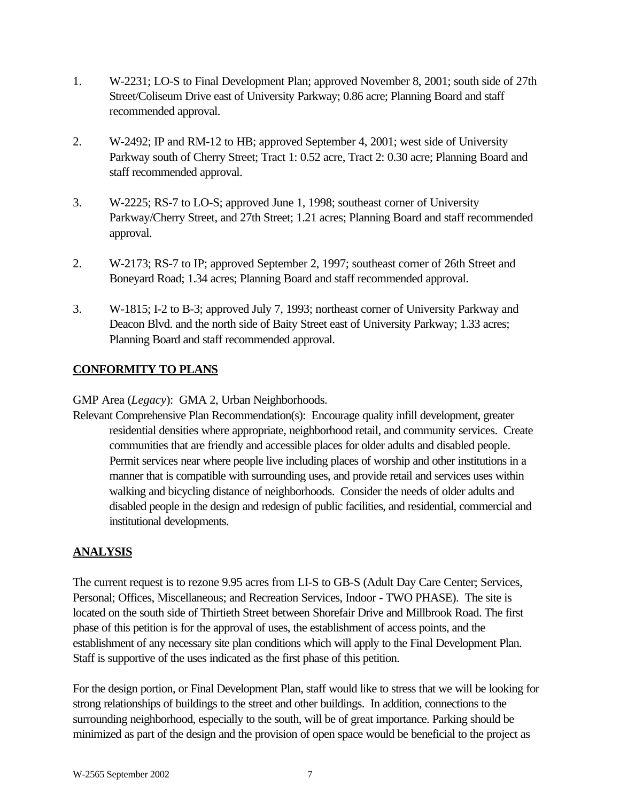- 1. W-2231; LO-S to Final Development Plan; approved November 8, 2001; south side of 27th Street/Coliseum Drive east of University Parkway; 0.86 acre; Planning Board and staff recommended approval.
- 2. W-2492; IP and RM-12 to HB; approved September 4, 2001; west side of University Parkway south of Cherry Street; Tract 1: 0.52 acre, Tract 2: 0.30 acre; Planning Board and staff recommended approval.
- 3. W-2225; RS-7 to LO-S; approved June 1, 1998; southeast corner of University Parkway/Cherry Street, and 27th Street; 1.21 acres; Planning Board and staff recommended approval.
- 2. W-2173; RS-7 to IP; approved September 2, 1997; southeast corner of 26th Street and Boneyard Road; 1.34 acres; Planning Board and staff recommended approval.
- 3. W-1815; I-2 to B-3; approved July 7, 1993; northeast corner of University Parkway and Deacon Blvd. and the north side of Baity Street east of University Parkway; 1.33 acres; Planning Board and staff recommended approval.

# **CONFORMITY TO PLANS**

GMP Area (*Legacy*): GMA 2, Urban Neighborhoods.

Relevant Comprehensive Plan Recommendation(s): Encourage quality infill development, greater residential densities where appropriate, neighborhood retail, and community services. Create communities that are friendly and accessible places for older adults and disabled people. Permit services near where people live including places of worship and other institutions in a manner that is compatible with surrounding uses, and provide retail and services uses within walking and bicycling distance of neighborhoods. Consider the needs of older adults and disabled people in the design and redesign of public facilities, and residential, commercial and institutional developments.

# **ANALYSIS**

The current request is to rezone 9.95 acres from LI-S to GB-S (Adult Day Care Center; Services, Personal; Offices, Miscellaneous; and Recreation Services, Indoor - TWO PHASE). The site is located on the south side of Thirtieth Street between Shorefair Drive and Millbrook Road. The first phase of this petition is for the approval of uses, the establishment of access points, and the establishment of any necessary site plan conditions which will apply to the Final Development Plan. Staff is supportive of the uses indicated as the first phase of this petition.

For the design portion, or Final Development Plan, staff would like to stress that we will be looking for strong relationships of buildings to the street and other buildings. In addition, connections to the surrounding neighborhood, especially to the south, will be of great importance. Parking should be minimized as part of the design and the provision of open space would be beneficial to the project as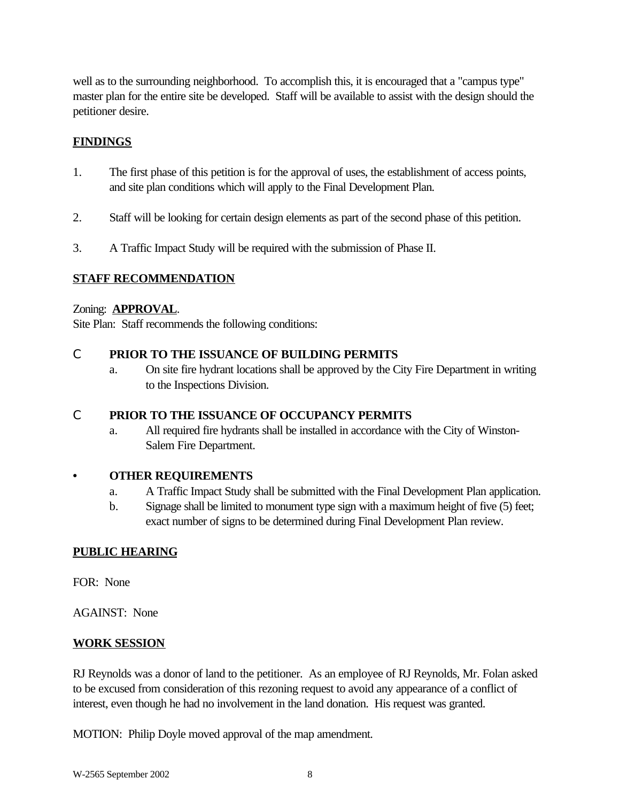well as to the surrounding neighborhood. To accomplish this, it is encouraged that a "campus type" master plan for the entire site be developed. Staff will be available to assist with the design should the petitioner desire.

# **FINDINGS**

- 1. The first phase of this petition is for the approval of uses, the establishment of access points, and site plan conditions which will apply to the Final Development Plan.
- 2. Staff will be looking for certain design elements as part of the second phase of this petition.
- 3. A Traffic Impact Study will be required with the submission of Phase II.

# **STAFF RECOMMENDATION**

## Zoning: **APPROVAL**.

Site Plan: Staff recommends the following conditions:

## C **PRIOR TO THE ISSUANCE OF BUILDING PERMITS**

a. On site fire hydrant locations shall be approved by the City Fire Department in writing to the Inspections Division.

# C **PRIOR TO THE ISSUANCE OF OCCUPANCY PERMITS**

a. All required fire hydrants shall be installed in accordance with the City of Winston-Salem Fire Department.

## **• OTHER REQUIREMENTS**

- a. A Traffic Impact Study shall be submitted with the Final Development Plan application.
- b. Signage shall be limited to monument type sign with a maximum height of five (5) feet; exact number of signs to be determined during Final Development Plan review.

# **PUBLIC HEARING**

FOR: None

AGAINST: None

# **WORK SESSION**

RJ Reynolds was a donor of land to the petitioner. As an employee of RJ Reynolds, Mr. Folan asked to be excused from consideration of this rezoning request to avoid any appearance of a conflict of interest, even though he had no involvement in the land donation. His request was granted.

MOTION: Philip Doyle moved approval of the map amendment.